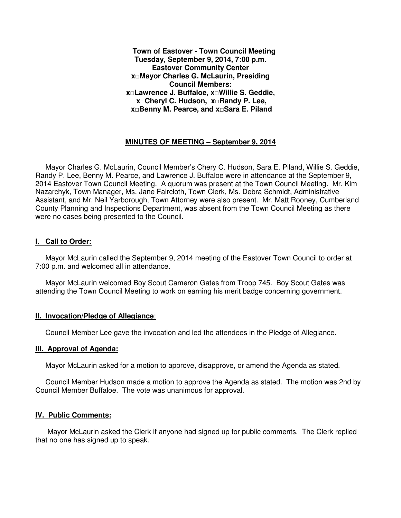**Town of Eastover - Town Council Meeting Tuesday, September 9, 2014, 7:00 p.m. Eastover Community Center x□Mayor Charles G. McLaurin, Presiding Council Members: x□Lawrence J. Buffaloe, x□Willie S. Geddie, x□Cheryl C. Hudson, x□Randy P. Lee, x□Benny M. Pearce, and x□Sara E. Piland** 

## **MINUTES OF MEETING – September 9, 2014**

 Mayor Charles G. McLaurin, Council Member's Chery C. Hudson, Sara E. Piland, Willie S. Geddie, Randy P. Lee, Benny M. Pearce, and Lawrence J. Buffaloe were in attendance at the September 9, 2014 Eastover Town Council Meeting. A quorum was present at the Town Council Meeting. Mr. Kim Nazarchyk, Town Manager, Ms. Jane Faircloth, Town Clerk, Ms. Debra Schmidt, Administrative Assistant, and Mr. Neil Yarborough, Town Attorney were also present. Mr. Matt Rooney, Cumberland County Planning and Inspections Department, was absent from the Town Council Meeting as there were no cases being presented to the Council.

#### **I. Call to Order:**

 Mayor McLaurin called the September 9, 2014 meeting of the Eastover Town Council to order at 7:00 p.m. and welcomed all in attendance.

 Mayor McLaurin welcomed Boy Scout Cameron Gates from Troop 745. Boy Scout Gates was attending the Town Council Meeting to work on earning his merit badge concerning government.

#### **II. Invocation/Pledge of Allegiance**:

Council Member Lee gave the invocation and led the attendees in the Pledge of Allegiance.

#### **III. Approval of Agenda:**

Mayor McLaurin asked for a motion to approve, disapprove, or amend the Agenda as stated.

 Council Member Hudson made a motion to approve the Agenda as stated. The motion was 2nd by Council Member Buffaloe. The vote was unanimous for approval.

#### **IV. Public Comments:**

 Mayor McLaurin asked the Clerk if anyone had signed up for public comments. The Clerk replied that no one has signed up to speak.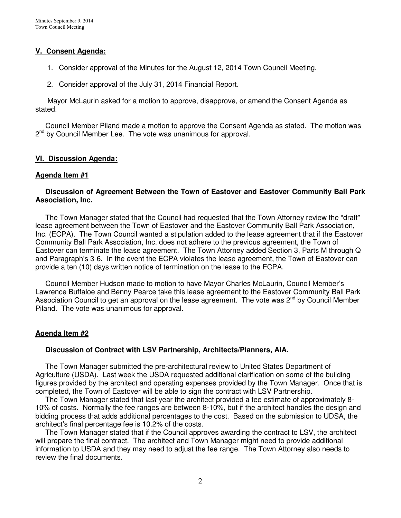## **V. Consent Agenda:**

- 1. Consider approval of the Minutes for the August 12, 2014 Town Council Meeting.
- 2. Consider approval of the July 31, 2014 Financial Report.

 Mayor McLaurin asked for a motion to approve, disapprove, or amend the Consent Agenda as stated.

 Council Member Piland made a motion to approve the Consent Agenda as stated. The motion was 2<sup>nd</sup> by Council Member Lee. The vote was unanimous for approval.

## **VI. Discussion Agenda:**

#### **Agenda Item #1**

### **Discussion of Agreement Between the Town of Eastover and Eastover Community Ball Park Association, Inc.**

 The Town Manager stated that the Council had requested that the Town Attorney review the "draft" lease agreement between the Town of Eastover and the Eastover Community Ball Park Association, Inc. (ECPA). The Town Council wanted a stipulation added to the lease agreement that if the Eastover Community Ball Park Association, Inc. does not adhere to the previous agreement, the Town of Eastover can terminate the lease agreement. The Town Attorney added Section 3, Parts M through Q and Paragraph's 3-6. In the event the ECPA violates the lease agreement, the Town of Eastover can provide a ten (10) days written notice of termination on the lease to the ECPA.

 Council Member Hudson made to motion to have Mayor Charles McLaurin, Council Member's Lawrence Buffaloe and Benny Pearce take this lease agreement to the Eastover Community Ball Park Association Council to get an approval on the lease agreement. The vote was 2<sup>nd</sup> by Council Member Piland. The vote was unanimous for approval.

## **Agenda Item #2**

#### **Discussion of Contract with LSV Partnership, Architects/Planners, AIA.**

 The Town Manager submitted the pre-architectural review to United States Department of Agriculture (USDA). Last week the USDA requested additional clarification on some of the building figures provided by the architect and operating expenses provided by the Town Manager. Once that is completed, the Town of Eastover will be able to sign the contract with LSV Partnership.

 The Town Manager stated that last year the architect provided a fee estimate of approximately 8- 10% of costs. Normally the fee ranges are between 8-10%, but if the architect handles the design and bidding process that adds additional percentages to the cost. Based on the submission to UDSA, the architect's final percentage fee is 10.2% of the costs.

 The Town Manager stated that if the Council approves awarding the contract to LSV, the architect will prepare the final contract. The architect and Town Manager might need to provide additional information to USDA and they may need to adjust the fee range. The Town Attorney also needs to review the final documents.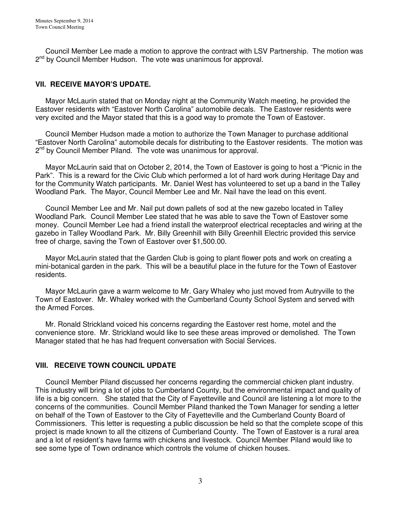Council Member Lee made a motion to approve the contract with LSV Partnership. The motion was 2<sup>nd</sup> by Council Member Hudson. The vote was unanimous for approval.

## **VII. RECEIVE MAYOR'S UPDATE.**

 Mayor McLaurin stated that on Monday night at the Community Watch meeting, he provided the Eastover residents with "Eastover North Carolina" automobile decals. The Eastover residents were very excited and the Mayor stated that this is a good way to promote the Town of Eastover.

 Council Member Hudson made a motion to authorize the Town Manager to purchase additional "Eastover North Carolina" automobile decals for distributing to the Eastover residents. The motion was 2<sup>nd</sup> by Council Member Piland. The vote was unanimous for approval.

 Mayor McLaurin said that on October 2, 2014, the Town of Eastover is going to host a "Picnic in the Park". This is a reward for the Civic Club which performed a lot of hard work during Heritage Day and for the Community Watch participants. Mr. Daniel West has volunteered to set up a band in the Talley Woodland Park. The Mayor, Council Member Lee and Mr. Nail have the lead on this event.

 Council Member Lee and Mr. Nail put down pallets of sod at the new gazebo located in Talley Woodland Park. Council Member Lee stated that he was able to save the Town of Eastover some money. Council Member Lee had a friend install the waterproof electrical receptacles and wiring at the gazebo in Talley Woodland Park. Mr. Billy Greenhill with Billy Greenhill Electric provided this service free of charge, saving the Town of Eastover over \$1,500.00.

 Mayor McLaurin stated that the Garden Club is going to plant flower pots and work on creating a mini-botanical garden in the park. This will be a beautiful place in the future for the Town of Eastover residents.

 Mayor McLaurin gave a warm welcome to Mr. Gary Whaley who just moved from Autryville to the Town of Eastover. Mr. Whaley worked with the Cumberland County School System and served with the Armed Forces.

 Mr. Ronald Strickland voiced his concerns regarding the Eastover rest home, motel and the convenience store. Mr. Strickland would like to see these areas improved or demolished. The Town Manager stated that he has had frequent conversation with Social Services.

## **VIII. RECEIVE TOWN COUNCIL UPDATE**

 Council Member Piland discussed her concerns regarding the commercial chicken plant industry. This industry will bring a lot of jobs to Cumberland County, but the environmental impact and quality of life is a big concern. She stated that the City of Fayetteville and Council are listening a lot more to the concerns of the communities. Council Member Piland thanked the Town Manager for sending a letter on behalf of the Town of Eastover to the City of Fayetteville and the Cumberland County Board of Commissioners. This letter is requesting a public discussion be held so that the complete scope of this project is made known to all the citizens of Cumberland County. The Town of Eastover is a rural area and a lot of resident's have farms with chickens and livestock. Council Member Piland would like to see some type of Town ordinance which controls the volume of chicken houses.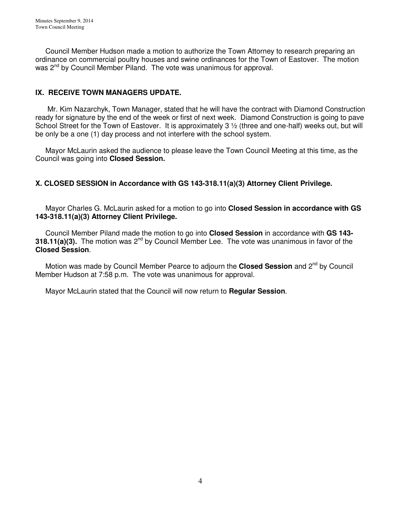Council Member Hudson made a motion to authorize the Town Attorney to research preparing an ordinance on commercial poultry houses and swine ordinances for the Town of Eastover. The motion was 2<sup>nd</sup> by Council Member Piland. The vote was unanimous for approval.

# **IX. RECEIVE TOWN MANAGERS UPDATE.**

 Mr. Kim Nazarchyk, Town Manager, stated that he will have the contract with Diamond Construction ready for signature by the end of the week or first of next week. Diamond Construction is going to pave School Street for the Town of Eastover. It is approximately 3 ½ (three and one-half) weeks out, but will be only be a one (1) day process and not interfere with the school system.

 Mayor McLaurin asked the audience to please leave the Town Council Meeting at this time, as the Council was going into **Closed Session.** 

## **X. CLOSED SESSION in Accordance with GS 143-318.11(a)(3) Attorney Client Privilege.**

Mayor Charles G. McLaurin asked for a motion to go into **Closed Session in accordance with GS 143-318.11(a)(3) Attorney Client Privilege.** 

 Council Member Piland made the motion to go into **Closed Session** in accordance with **GS 143- 318.11(a)(3).** The motion was 2<sup>nd</sup> by Council Member Lee. The vote was unanimous in favor of the **Closed Session**.

Motion was made by Council Member Pearce to adjourn the **Closed Session** and 2<sup>nd</sup> by Council Member Hudson at 7:58 p.m. The vote was unanimous for approval.

Mayor McLaurin stated that the Council will now return to **Regular Session**.